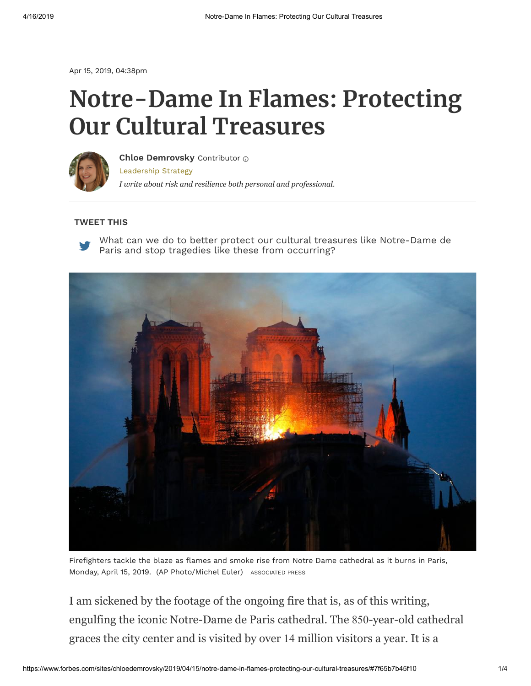Apr 15, 2019, 04:38pm

## **Notre-Dame In Flames: Protecting Our Cultural Treasures**



[Leadership Strategy](https://www.forbes.com/leadership-strategy) *I write about risk and resilience both personal and professional.* **[Chloe Demrovsky](https://www.forbes.com/sites/chloedemrovsky/)** Contributor

## **TWEET THIS**



What can we do to better protect our cultural treasures like Notre-Dame de [Paris and stop tragedies like these from occurring?](https://twitter.com/intent/tweet?url=http%3A%2F%2Fwww.forbes.com%2Fsites%2Fchloedemrovsky%2F2019%2F04%2F15%2Fnotre-dame-in-flames-protecting-our-cultural-treasures%2F&text=What%20can%20we%20do%20to%20protect%20cultural%20treasures%20like%20Notre-Dame%20de%20Paris%20and%20stop%20tragedies%20like%20these%20from%20occurring%3F)



Monday, April 15, 2019. (AP Photo/Michel Euler) Associated Press Firefighters tackle the blaze as flames and smoke rise from Notre Dame cathedral as it burns in Paris,

I am sickened by the footage of the ongoing fire that is, as of this writing, engulfing the iconic Notre-Dame de Paris cathedral. The 850-year-old cathedral graces the city center and is visited by over 14 million visitors a year. It is a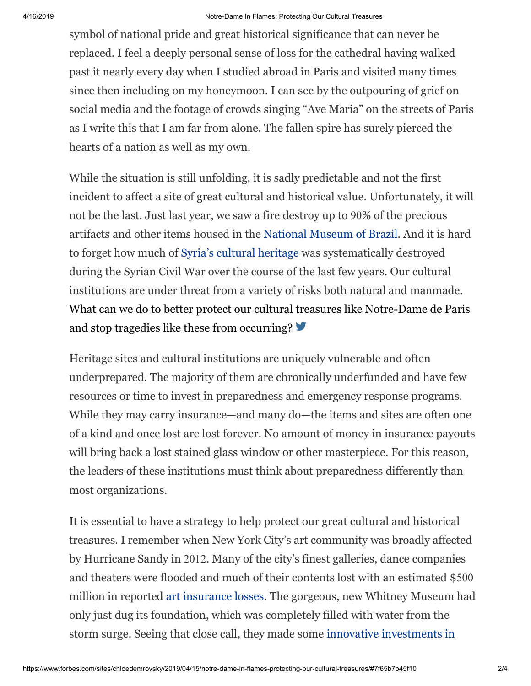symbol of national pride and great historical significance that can never be replaced. I feel a deeply personal sense of loss for the cathedral having walked past it nearly every day when I studied abroad in Paris and visited many times since then including on my honeymoon. I can see by the outpouring of grief on social media and the footage of crowds singing "Ave Maria" on the streets of Paris as I write this that I am far from alone. The fallen spire has surely pierced the hearts of a nation as well as my own.

While the situation is still unfolding, it is sadly predictable and not the first incident to affect a site of great cultural and historical value. Unfortunately, it will not be the last. Just last year, we saw a fire destroy up to 90% of the precious artifacts and other items housed in the [National Museum of Brazil.](https://www.smithsonianmag.com/smart-news/these-are-latest-updates-brazils-devastating-national-museum-fire-180970232/) And it is hard to forget how much of [Syria's cultural heritage](https://www.smithsonianmag.com/history/race-save-syrias-archaeological-treasures-180958097/) was systematically destroyed during the Syrian Civil War over the course of the last few years. Our cultural institutions are under threat from a variety of risks both natural and manmade. [What can we do to better protect our cultural treasures like Notre-Dame de Paris](https://twitter.com/intent/tweet?url=http%3A%2F%2Fwww.forbes.com%2Fsites%2Fchloedemrovsky%2F2019%2F04%2F15%2Fnotre-dame-in-flames-protecting-our-cultural-treasures%2F&text=What%20can%20we%20do%20to%20protect%20cultural%20treasures%20like%20Notre-Dame%20de%20Paris%20and%20stop%20tragedies%20like%20these%20from%20occurring%3F) and stop tragedies like these from occurring?

Heritage sites and cultural institutions are uniquely vulnerable and often underprepared. The majority of them are chronically underfunded and have few resources or time to invest in preparedness and emergency response programs. While they may carry insurance—and many do—the items and sites are often one of a kind and once lost are lost forever. No amount of money in insurance payouts will bring back a lost stained glass window or other masterpiece. For this reason, the leaders of these institutions must think about preparedness differently than most organizations.

It is essential to have a strategy to help protect our great cultural and historical treasures. I remember when New York City's art community was broadly affected by Hurricane Sandy in 2012. Many of the city's finest galleries, dance companies and theaters were flooded and much of their contents lost with an estimated \$500 million in reported [art insurance losses](https://artsbeat.blogs.nytimes.com/2012/12/28/art-insurance-losses-from-hurricane-sandy-may-reach-500000-million/). The gorgeous, new Whitney Museum had only just dug its foundation, which was completely filled with water from the [storm surge. Seeing that close call, they made some innovative investments in](https://www.theatlantic.com/entertainment/archive/2015/05/new-whitney-hurricane-sandy-climate-change/394100/)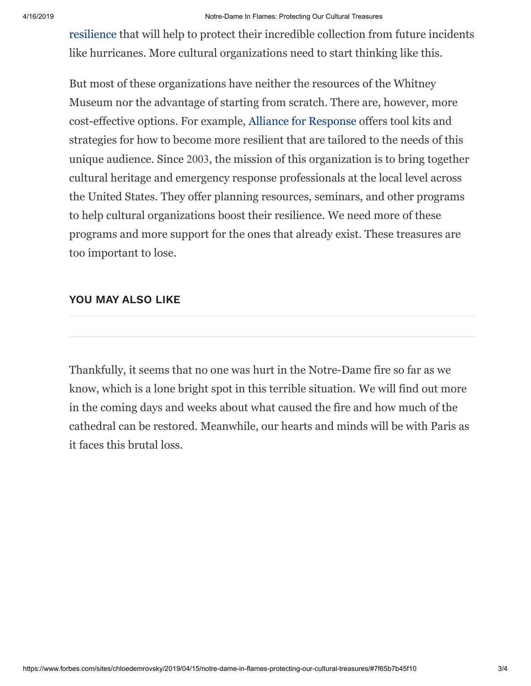[resilience that will help to protect their incredible collection from future incide](https://www.theatlantic.com/entertainment/archive/2015/05/new-whitney-hurricane-sandy-climate-change/394100/)nts like hurricanes. More cultural organizations need to start thinking like this.

But most of these organizations have neither the resources of the Whitney Museum nor the advantage of starting from scratch. There are, however, more cost-effective options. For example, [Alliance for Response](http://www.heritageemergency.org/initiatives/alliance-for-response/afr-home/) offers tool kits and strategies for how to become more resilient that are tailored to the needs of this unique audience. Since 2003, the mission of this organization is to bring together cultural heritage and emergency response professionals at the local level across the United States. They offer planning resources, seminars, and other programs to help cultural organizations boost their resilience. We need more of these programs and more support for the ones that already exist. These treasures are too important to lose.

## **YOU MAY ALSO LIKE**

Thankfully, it seems that no one was hurt in the Notre-Dame fire so far as we know, which is a lone bright spot in this terrible situation. We will find out more in the coming days and weeks about what caused the fire and how much of the cathedral can be restored. Meanwhile, our hearts and minds will be with Paris as it faces this brutal loss.